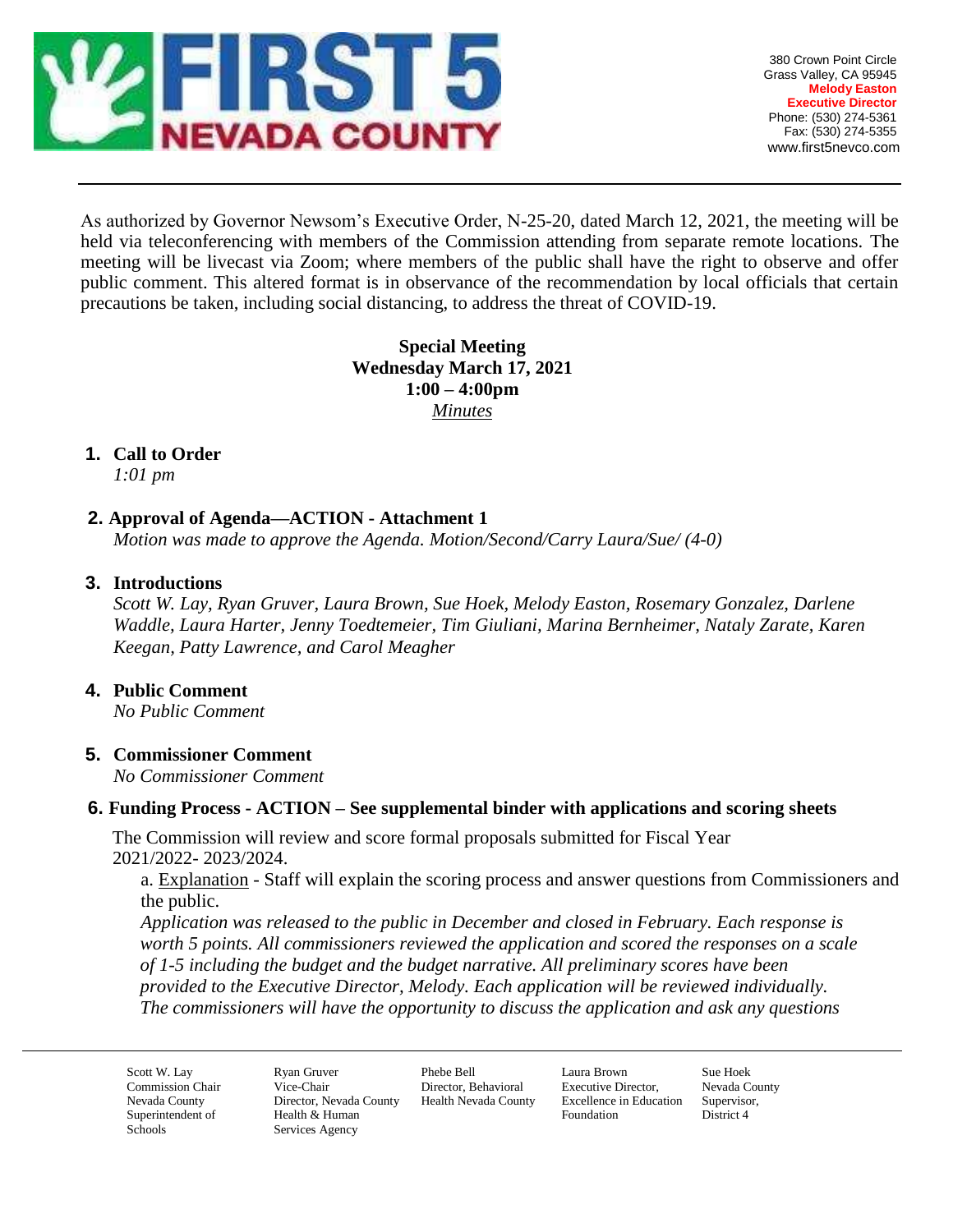

As authorized by Governor Newsom's Executive Order, N-25-20, dated March 12, 2021, the meeting will be held via teleconferencing with members of the Commission attending from separate remote locations. The meeting will be livecast via Zoom; where members of the public shall have the right to observe and offer public comment. This altered format is in observance of the recommendation by local officials that certain precautions be taken, including social distancing, to address the threat of COVID-19.

# **Special Meeting Wednesday March 17, 2021 1:00 – 4:00pm** *Minutes*

## **1. Call to Order**

*1:01 pm*

## **2. Approval of Agenda—ACTION - Attachment 1**

*Motion was made to approve the Agenda. Motion/Second/Carry Laura/Sue/ (4-0)*

#### **3. Introductions**

*Scott W. Lay, Ryan Gruver, Laura Brown, Sue Hoek, Melody Easton, Rosemary Gonzalez, Darlene Waddle, Laura Harter, Jenny Toedtemeier, Tim Giuliani, Marina Bernheimer, Nataly Zarate, Karen Keegan, Patty Lawrence, and Carol Meagher*

#### **4. Public Comment**

*No Public Comment*

### **5. Commissioner Comment**

*No Commissioner Comment* 

### **6. Funding Process - ACTION – See supplemental binder with applications and scoring sheets**

The Commission will review and score formal proposals submitted for Fiscal Year 2021/2022- 2023/2024.

a. Explanation - Staff will explain the scoring process and answer questions from Commissioners and the public.

*Application was released to the public in December and closed in February. Each response is worth 5 points. All commissioners reviewed the application and scored the responses on a scale of 1-5 including the budget and the budget narrative. All preliminary scores have been provided to the Executive Director, Melody. Each application will be reviewed individually. The commissioners will have the opportunity to discuss the application and ask any questions* 

Scott W. Lay Commission Chair Nevada County Superintendent of Schools

Ryan Gruver Vice-Chair Director, Nevada County Health & Human Services Agency

Phebe Bell Director, Behavioral Health Nevada County

Laura Brown Executive Director, Excellence in Education Foundation

Sue Hoek Nevada County Supervisor, District 4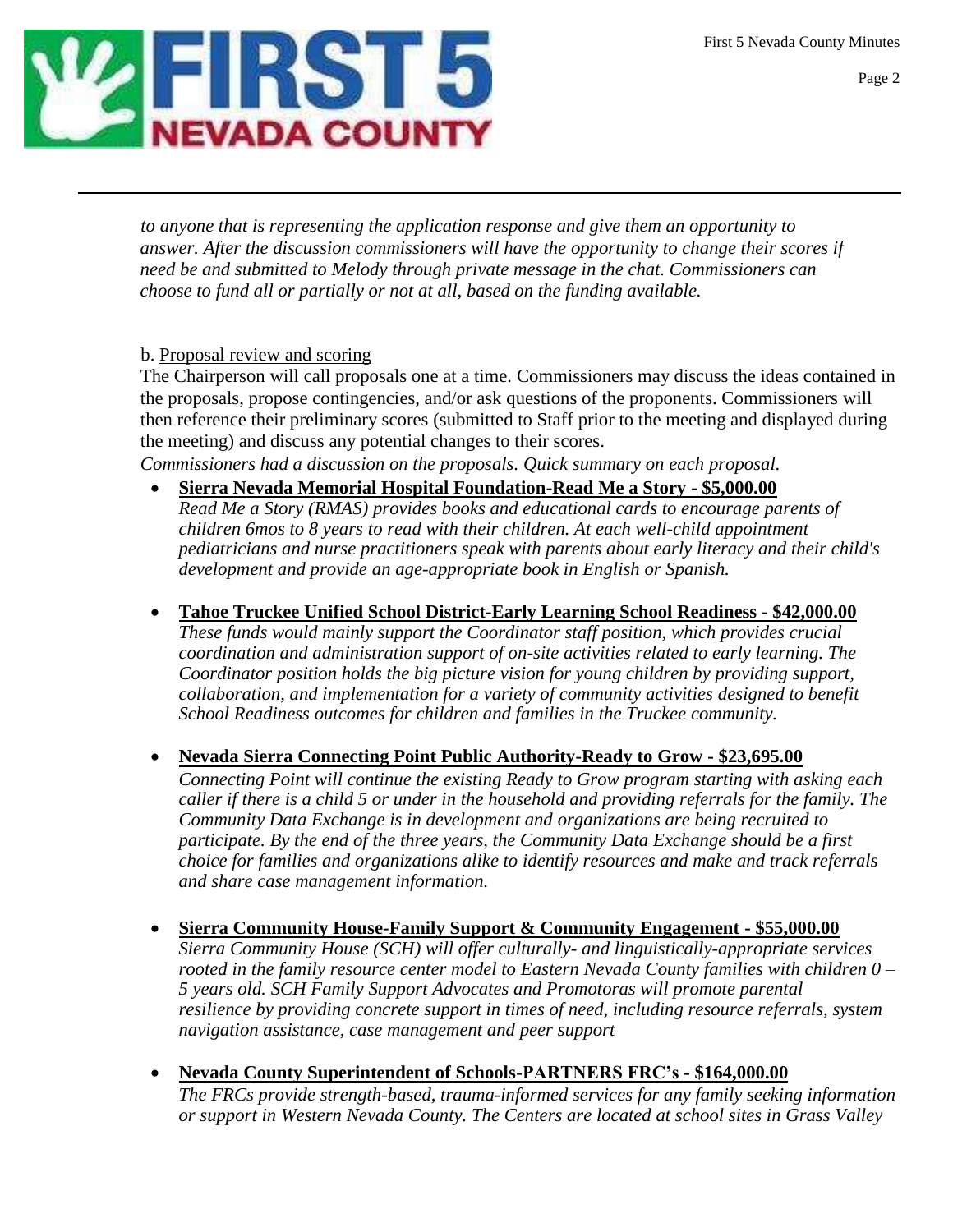First 5 Nevada County Minutes



*to anyone that is representing the application response and give them an opportunity to answer. After the discussion commissioners will have the opportunity to change their scores if need be and submitted to Melody through private message in the chat. Commissioners can choose to fund all or partially or not at all, based on the funding available.* 

### b. Proposal review and scoring

The Chairperson will call proposals one at a time. Commissioners may discuss the ideas contained in the proposals, propose contingencies, and/or ask questions of the proponents. Commissioners will then reference their preliminary scores (submitted to Staff prior to the meeting and displayed during the meeting) and discuss any potential changes to their scores.

*Commissioners had a discussion on the proposals. Quick summary on each proposal.*

- **Sierra Nevada Memorial Hospital Foundation-Read Me a Story - \$5,000.00** *Read Me a Story (RMAS) provides books and educational cards to encourage parents of children 6mos to 8 years to read with their children. At each well-child appointment pediatricians and nurse practitioners speak with parents about early literacy and their child's development and provide an age-appropriate book in English or Spanish.*
- **Tahoe Truckee Unified School District-Early Learning School Readiness - \$42,000.00** *These funds would mainly support the Coordinator staff position, which provides crucial coordination and administration support of on-site activities related to early learning. The Coordinator position holds the big picture vision for young children by providing support, collaboration, and implementation for a variety of community activities designed to benefit School Readiness outcomes for children and families in the Truckee community.*

### **Nevada Sierra Connecting Point Public Authority-Ready to Grow - \$23,695.00**

*Connecting Point will continue the existing Ready to Grow program starting with asking each caller if there is a child 5 or under in the household and providing referrals for the family. The Community Data Exchange is in development and organizations are being recruited to participate. By the end of the three years, the Community Data Exchange should be a first choice for families and organizations alike to identify resources and make and track referrals and share case management information.*

- **Sierra Community House-Family Support & Community Engagement - \$55,000.00** *Sierra Community House (SCH) will offer culturally- and linguistically-appropriate services rooted in the family resource center model to Eastern Nevada County families with children 0 – 5 years old. SCH Family Support Advocates and Promotoras will promote parental resilience by providing concrete support in times of need, including resource referrals, system navigation assistance, case management and peer support*
- **Nevada County Superintendent of Schools-PARTNERS FRC's - \$164,000.00**

*The FRCs provide strength-based, trauma-informed services for any family seeking information or support in Western Nevada County. The Centers are located at school sites in Grass Valley*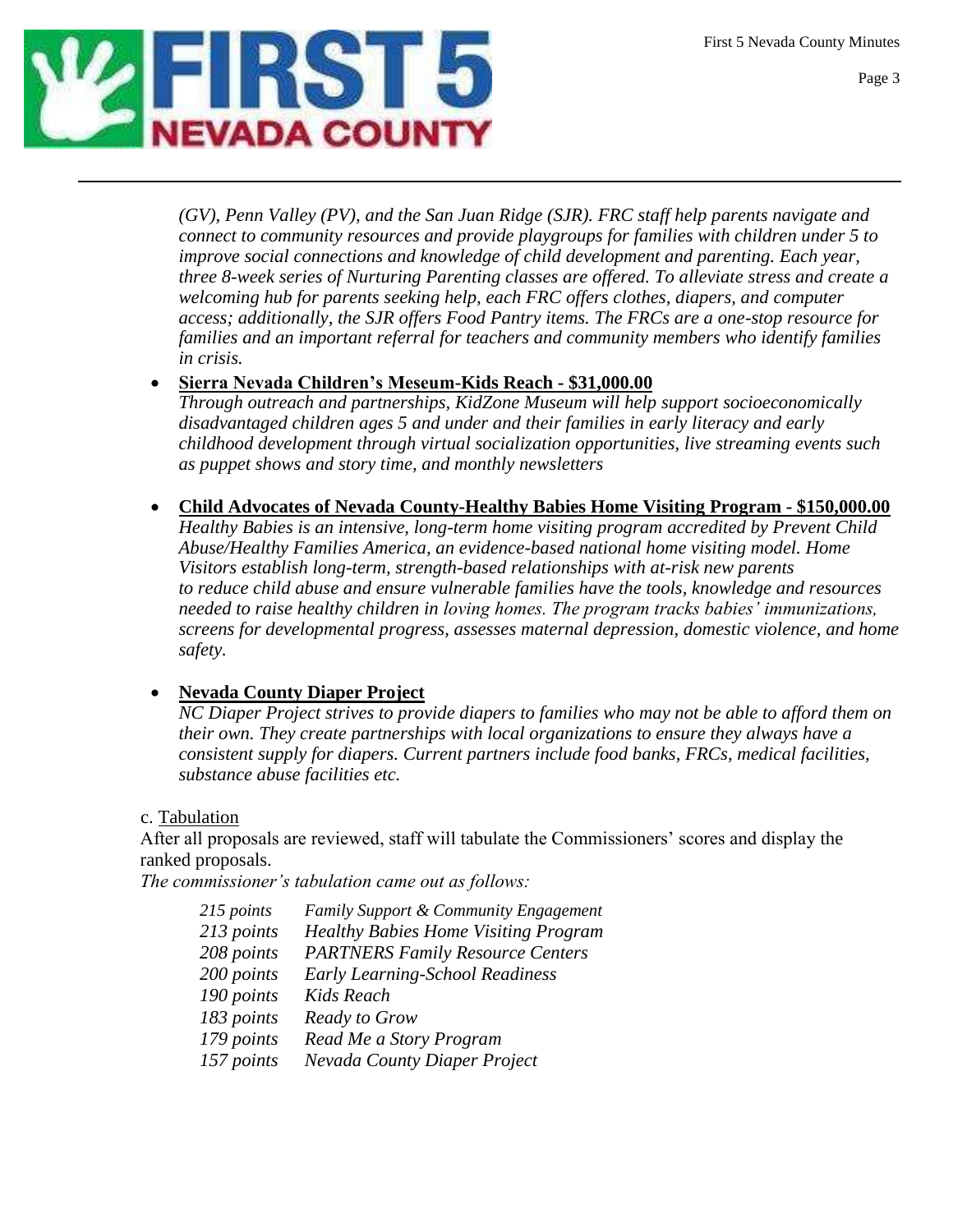First 5 Nevada County Minutes



*(GV), Penn Valley (PV), and the San Juan Ridge (SJR). FRC staff help parents navigate and connect to community resources and provide playgroups for families with children under 5 to improve social connections and knowledge of child development and parenting. Each year, three 8-week series of Nurturing Parenting classes are offered. To alleviate stress and create a welcoming hub for parents seeking help, each FRC offers clothes, diapers, and computer access; additionally, the SJR offers Food Pantry items. The FRCs are a one-stop resource for families and an important referral for teachers and community members who identify families in crisis.*

## **Sierra Nevada Children's Meseum-Kids Reach - \$31,000.00**

*Through outreach and partnerships, KidZone Museum will help support socioeconomically disadvantaged children ages 5 and under and their families in early literacy and early childhood development through virtual socialization opportunities, live streaming events such as puppet shows and story time, and monthly newsletters*

 **Child Advocates of Nevada County-Healthy Babies Home Visiting Program - \$150,000.00** *Healthy Babies is an intensive, long-term home visiting program accredited by Prevent Child* 

*Abuse/Healthy Families America, an evidence-based national home visiting model. Home Visitors establish long-term, strength-based relationships with at-risk new parents to reduce child abuse and ensure vulnerable families have the tools, knowledge and resources needed to raise healthy children in loving homes. The program tracks babies' immunizations, screens for developmental progress, assesses maternal depression, domestic violence, and home safety.*

# **Nevada County Diaper Project**

*NC Diaper Project strives to provide diapers to families who may not be able to afford them on their own. They create partnerships with local organizations to ensure they always have a consistent supply for diapers. Current partners include food banks, FRCs, medical facilities, substance abuse facilities etc.*

c. Tabulation

After all proposals are reviewed, staff will tabulate the Commissioners' scores and display the ranked proposals.

*The commissioner's tabulation came out as follows:*

| 215 points | <b>Family Support &amp; Community Engagement</b> |
|------------|--------------------------------------------------|
| 213 points | <b>Healthy Babies Home Visiting Program</b>      |
| 208 points | <b>PARTNERS Family Resource Centers</b>          |
| 200 points | Early Learning-School Readiness                  |
| 190 points | Kids Reach                                       |
| 183 points | <b>Ready to Grow</b>                             |
| 179 points | Read Me a Story Program                          |
| 157 points | Nevada County Diaper Project                     |
|            |                                                  |